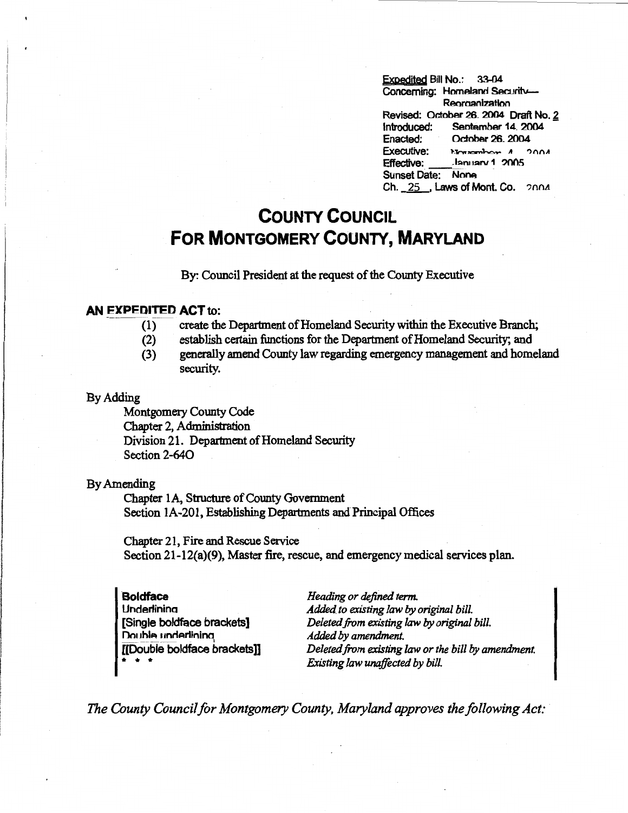Expedjted Bill No.: 33-04 Concerning: Homeland Security-Reorganization Revised: October 26. 2004 Draft No. 2<br>Introduced: September 14, 2004 Sentember 14\_ 2004 Enacted: October 26, 2004<br>Executive: November 4, 2 Executive: 1':lno..,..,..'h,,,....- *<sup>A</sup>*">nnA . Ianuary 1 2005 Sunset Date: None Ch. 25 . Laws of Mont. Co. 2004

## **COUNTY COUNCIL FOR MONTGOMERY COUNTY, MARYLAND**

By: Council President at the request of the County Executive

## **AN EXPEDITED ACT** to:

- (1) create the Department of Homeland Security within the Executive Branch;
- (2) establish certain functions for the Department of Homeland Security; and
- (3) generally amend County law regarding emergency management and homeland security.

## By Adding

Montgomery County Code Chapter 2, Administration Division 21. Department of Homeland Security Section 2-640

## By Amending

Chapter lA, Structure of County Government Section lA-201, Establishing Departments and Principal Offices

Chapter 21, Fire and Rescue Service Section 21-12(a)(9), Master fire, rescue, and emergency medical services plan.

**Boldface Underlining** [Single boldface brackets] Double underlining [[Double boldface brackets]] \* \* \*

*Heading or defined term. Added to existing law* by *original bill. Deleted from existing law* by *original bill. Added by amendment. Deleted from existing law or the bill by amendment. Existing law unaffected by bill.* 

*The County Council/or Montgomery County, Maryland approves the following Act:*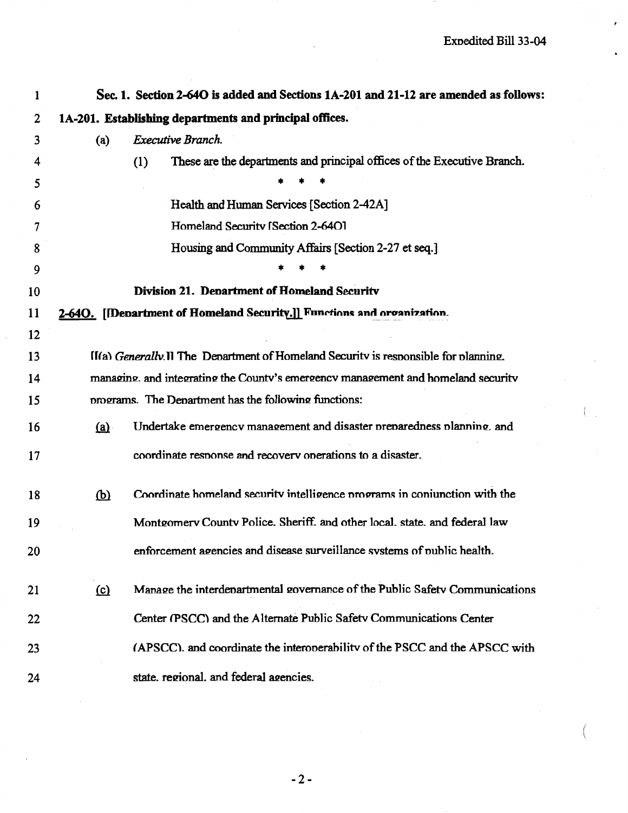$\left(\right)$ 

| 1  |                                                                                     | Sec. 1. Section 2-640 is added and Sections 1A-201 and 21-12 are amended as follows: |  |  |  |
|----|-------------------------------------------------------------------------------------|--------------------------------------------------------------------------------------|--|--|--|
| 2  | 1A-201. Establishing departments and principal offices.                             |                                                                                      |  |  |  |
| 3  | (a)                                                                                 | Executive Branch.                                                                    |  |  |  |
| 4  |                                                                                     | These are the departments and principal offices of the Executive Branch.<br>(1)      |  |  |  |
| 5  |                                                                                     |                                                                                      |  |  |  |
| 6  |                                                                                     | Health and Human Services [Section 2-42A]                                            |  |  |  |
| 7  |                                                                                     | Homeland Security [Section 2-640]                                                    |  |  |  |
| 8  |                                                                                     | Housing and Community Affairs [Section 2-27 et seq.]                                 |  |  |  |
| 9  |                                                                                     |                                                                                      |  |  |  |
| 10 | Division 21. Department of Homeland Security                                        |                                                                                      |  |  |  |
| 11 | 2-640. [Denartment of Homeland Security.]] Functions and organization.              |                                                                                      |  |  |  |
| 12 |                                                                                     |                                                                                      |  |  |  |
| 13 | II(a) Generally II The Department of Homeland Security is responsible for planning. |                                                                                      |  |  |  |
| 14 | managing, and integrating the County's emergency management and homeland security   |                                                                                      |  |  |  |
| 15 | programs. The Department has the following functions:                               |                                                                                      |  |  |  |
| 16 | (a)                                                                                 | Undertake emergency management and disaster preparedness planning. and               |  |  |  |
| 17 |                                                                                     | coordinate response and recovery operations to a disaster.                           |  |  |  |
| 18 | $\overline{\mathbf{p}}$                                                             | Coordinate homeland security intelligence programs in conjunction with the           |  |  |  |
| 19 |                                                                                     | Montgomery County Police. Sheriff. and other local. state. and federal law           |  |  |  |
| 20 |                                                                                     | enforcement agencies and disease surveillance systems of public health.              |  |  |  |
| 21 | (c)                                                                                 | Manage the interdenartmental governance of the Public Safety Communications          |  |  |  |
| 22 |                                                                                     | Center (PSCC) and the Alternate Public Safety Communications Center                  |  |  |  |
| 23 |                                                                                     | (APSCC), and coordinate the interoperability of the PSCC and the APSCC with          |  |  |  |
| 24 |                                                                                     | state. regional. and federal agencies.                                               |  |  |  |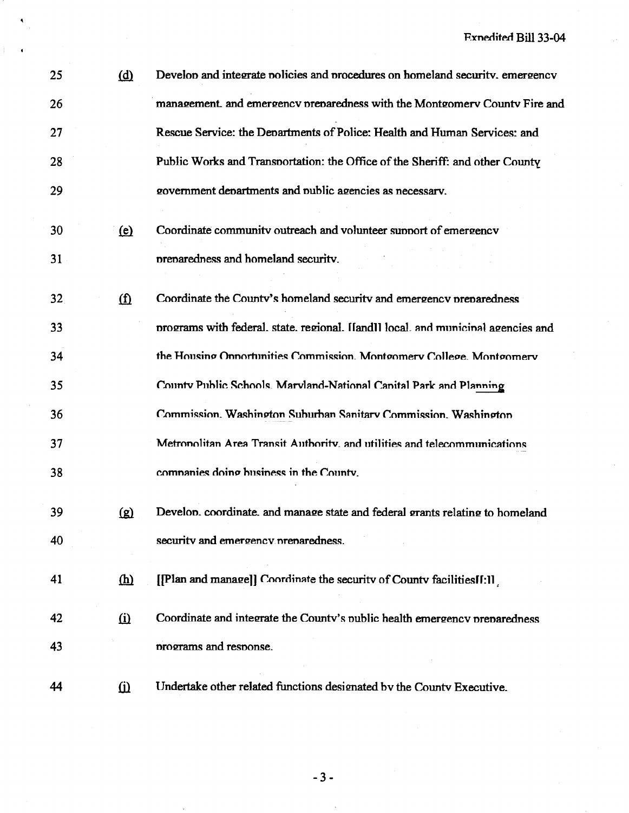| 25              | ( <u>d</u> )      | Develop and integrate policies and procedures on homeland security, emergency     |  |
|-----------------|-------------------|-----------------------------------------------------------------------------------|--|
| 26              |                   | management. and emergency preparedness with the Montgomery County Fire and        |  |
| 27              |                   | Rescue Service: the Departments of Police: Health and Human Services: and         |  |
| 28              |                   | Public Works and Transportation: the Office of the Sheriff: and other County      |  |
| 29              |                   | government departments and public agencies as necessary.                          |  |
| 30              | $\circ$           | Coordinate community outreach and volunteer support of emergency                  |  |
| 31              |                   | preparedness and homeland security.                                               |  |
| 32 <sub>1</sub> | $\mathbf{\Omega}$ | Coordinate the County's homeland security and emergency preparedness              |  |
| 33              |                   | programs with federal, state, regional. [[and]] local, and municinal agencies and |  |
| 34              |                   | the Housing Opportunities Commission. Montgomery College. Montgomery              |  |
| 35              |                   | County Public Schools. Marvland-National Canital Park and Planning                |  |
| 36              |                   | Commission. Washington Suburban Sanitary Commission. Washington                   |  |
| 37              |                   | Metronolitan Area Transit Authority, and utilities and telecommunications         |  |
| 38              |                   | companies doing business in the County.                                           |  |
| 39              | ति                | Develop, coordinate, and manage state and federal grants relating to homeland     |  |
| 40              |                   | security and emergency preparedness.                                              |  |
| 41              | <u>(h)</u>        | [Plan and manage]] Coordinate the security of County facilities [1:1]             |  |
| 42              | $\Omega$          | Coordinate and integrate the County's public health emergency preparedness        |  |
| 43              |                   | programs and response.                                                            |  |
| 44              | $\Omega$          | Undertake other related functions designated by the County Executive.             |  |

 $-3-$